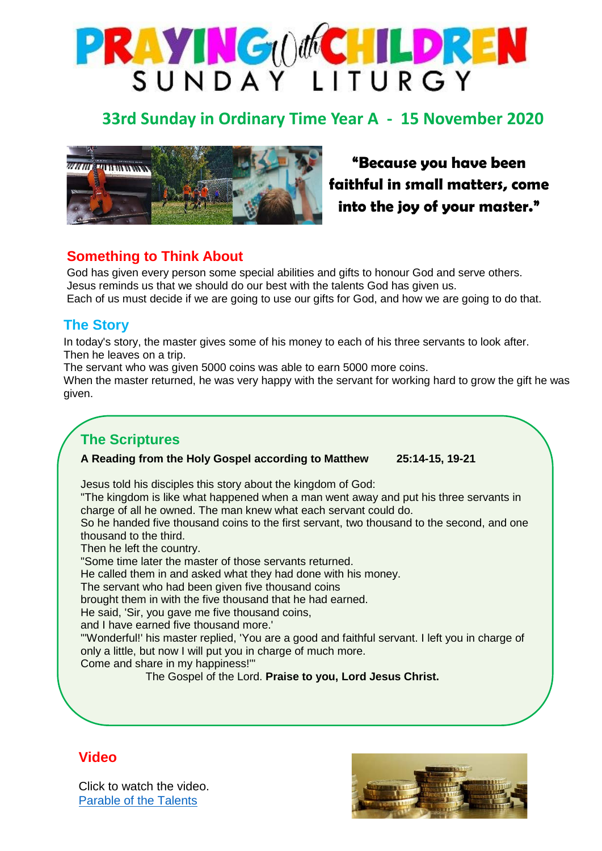

# **33rd Sunday in Ordinary Time Year A - 15 November 2020**



**"Because you have been faithful in small matters, come into the joy of your master."**

### **Something to Think About**

God has given every person some special abilities and gifts to honour God and serve others. Jesus reminds us that we should do our best with the talents God has given us. Each of us must decide if we are going to use our gifts for God, and how we are going to do that.

#### **The Story**

In today's story, the master gives some of his money to each of his three servants to look after. Then he leaves on a trip.

The servant who was given 5000 coins was able to earn 5000 more coins.

When the master returned, he was very happy with the servant for working hard to grow the gift he was given.

# **The Scriptures**

#### **A Reading from the Holy Gospel according to Matthew 25:14-15, 19-21**

Jesus told his disciples this story about the kingdom of God:

"The kingdom is like what happened when a man went away and put his three servants in charge of all he owned. The man knew what each servant could do.

So he handed five thousand coins to the first servant, two thousand to the second, and one thousand to the third.

Then he left the country.

"Some time later the master of those servants returned.

He called them in and asked what they had done with his money.

The servant who had been given five thousand coins

brought them in with the five thousand that he had earned.

He said, 'Sir, you gave me five thousand coins,

and I have earned five thousand more.'

"'Wonderful!' his master replied, 'You are a good and faithful servant. I left you in charge of only a little, but now I will put you in charge of much more.

Come and share in my happiness!'"

The Gospel of the Lord. **Praise to you, Lord Jesus Christ.**

#### **Video**



Click to watch the video. [Parable of the Talents](https://youtu.be/aJ1WZjQZDW4)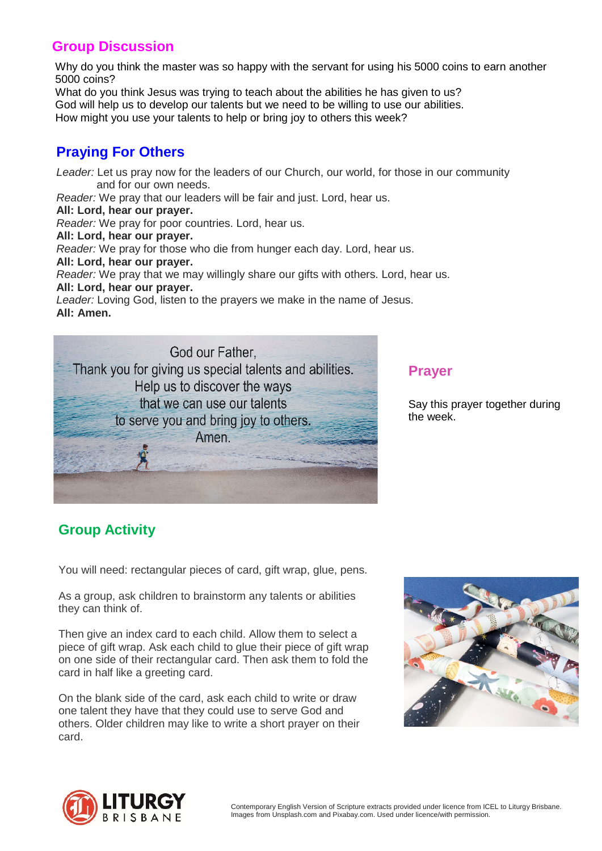### **Group Discussion**

Why do you think the master was so happy with the servant for using his 5000 coins to earn another 5000 coins?

What do you think Jesus was trying to teach about the abilities he has given to us? God will help us to develop our talents but we need to be willing to use our abilities. How might you use your talents to help or bring joy to others this week?

# **Praying For Others**

 **All: Lord, hear our prayer.** *Leader:* Let us pray now for the leaders of our Church, our world, for those in our community and for our own needs. *Reader:* We pray that our leaders will be fair and just. Lord, hear us. *Reader:* We pray for poor countries. Lord, hear us. **All: Lord, hear our prayer.** *Reader:* We pray for those who die from hunger each day. Lord, hear us.

 **All: Lord, hear our prayer.**

*Reader:* We pray that we may willingly share our gifts with others. Lord, hear us. **All: Lord, hear our prayer.**

*Leader:* Loving God, listen to the prayers we make in the name of Jesus. **All: Amen.**



#### **Prayer**

Say this prayer together during the week.

# **Group Activity**

You will need: rectangular pieces of card, gift wrap, glue, pens.

As a group, ask children to brainstorm any talents or abilities they can think of.

Then give an index card to each child. Allow them to select a piece of gift wrap. Ask each child to glue their piece of gift wrap on one side of their rectangular card. Then ask them to fold the card in half like a greeting card.

On the blank side of the card, ask each child to write or draw one talent they have that they could use to serve God and others. Older children may like to write a short prayer on their card.